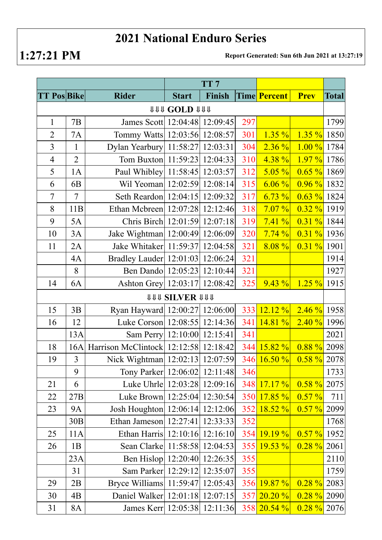## **2021 National Enduro Series**

**1:27:21 PM Report Generated: Sun 6th Jun 2021 at 13:27:19**

|                      |                |                                       | TT <sub>7</sub>              |          |     |                 |                |              |  |  |  |  |
|----------------------|----------------|---------------------------------------|------------------------------|----------|-----|-----------------|----------------|--------------|--|--|--|--|
| <b>TT Pos Bike</b>   |                | <b>Rider</b>                          | <b>Start</b>                 | Finish   |     | Time Percent    | <b>Prev</b>    | <b>Total</b> |  |  |  |  |
| <b>111 COLD 1111</b> |                |                                       |                              |          |     |                 |                |              |  |  |  |  |
| $\mathbf{1}$         | 7B             | James Scott 12:04:48 12:09:45         |                              |          | 297 |                 |                | 1799         |  |  |  |  |
| $\overline{2}$       | 7A             | Tommy Watts 12:03:56 12:08:57         |                              |          | 301 | $1.35 \%$       | $1.35 \%$      | 1850         |  |  |  |  |
| 3                    | $\mathbf{1}$   | Dylan Yearbury 11:58:27 12:03:31      |                              |          | 304 | $2.36\%$        | $1.00\%$       | 1784         |  |  |  |  |
| $\overline{4}$       | $\overline{2}$ | Tom Buxton   11:59:23   12:04:33      |                              |          | 310 | $4.38\%$        | $1.97\%$ 1786  |              |  |  |  |  |
| 5                    | 1A             | Paul Whibley 11:58:45 12:03:57        |                              |          | 312 | $5.05\%$        | $0.65 \%$      | 1869         |  |  |  |  |
| 6                    | 6 <sub>B</sub> | Wil Yeoman 12:02:59 12:08:14          |                              |          | 315 | $6.06\%$        | 0.96 %         | 1832         |  |  |  |  |
| 7                    | 7              | Seth Reardon   12:04:15   12:09:32    |                              |          | 317 | 6.73%           | $0.63 \%$ 1824 |              |  |  |  |  |
| 8                    | 11B            | Ethan Mcbreen 12:07:28 12:12:46       |                              |          | 318 | $7.07\%$        | $0.32 \%$ 1919 |              |  |  |  |  |
| 9                    | 5A             | Chris Birch 12:01:59 12:07:18         |                              |          | 319 | 7.41%           | $0.31 \%$ 1844 |              |  |  |  |  |
| 10                   | 3A             | Jake Wightman   12:00:49   12:06:09   |                              |          | 320 | 7.74%           | $0.31 \%$      | 1936         |  |  |  |  |
| 11                   | 2A             | Jake Whitaker 11:59:37 12:04:58       |                              |          | 321 | $8.08\%$        | $0.31 \%$      | 1901         |  |  |  |  |
|                      | 4A             | Bradley Lauder   12:01:03   12:06:24  |                              |          | 321 |                 |                | 1914         |  |  |  |  |
|                      | 8              | Ben Dando 12:05:23 12:10:44           |                              |          | 321 |                 |                | 1927         |  |  |  |  |
| 14                   | 6A             | Ashton Grey   12:03:17   12:08:42     |                              |          | 325 | $9.43\%$        | $1.25 \%$      | 1915         |  |  |  |  |
|                      |                |                                       | <b><i>UUU SILVER UUU</i></b> |          |     |                 |                |              |  |  |  |  |
| 15                   | 3B             | Ryan Hayward 12:00:27 12:06:00        |                              |          | 333 | $12.12\%$       | $2.46 \%$ 1958 |              |  |  |  |  |
| 16                   | 12             | Luke Corson 12:08:55 12:14:36         |                              |          | 341 | 14.81%          | 2.40%          | 1996         |  |  |  |  |
|                      | 13A            | Sam Perry 12:10:00 12:15:41           |                              |          | 341 |                 |                | 2021         |  |  |  |  |
| 18                   | 16A            | Harrison McClintock 12:12:58 12:18:42 |                              |          | 344 | $15.82\%$       | 0.88%          | 2098         |  |  |  |  |
| 19                   | $\overline{3}$ | Nick Wightman   12:02:13   12:07:59   |                              |          |     | 346 16.50 %     | $0.58 \%$      | 2078         |  |  |  |  |
|                      | 9              | Tony Parker   12:06:02   12:11:48     |                              |          | 346 |                 |                | 1733         |  |  |  |  |
| 21                   | 6              | Luke Uhrle 12:03:28 12:09:16          |                              |          | 348 | 17.17%          | $0.58 \%$      | 2075         |  |  |  |  |
| 22                   | 27B            | Luke Brown 12:25:04 12:30:54          |                              |          | 350 | 17.85%          | $0.57 \%$      | 711          |  |  |  |  |
| 23                   | <b>9A</b>      | Josh Houghton   12:06:14              |                              | 12:12:06 | 352 | 18.52%          | $0.57 \%$      | 2099         |  |  |  |  |
|                      | 30B            | Ethan Jameson $ 12:27:41 $            |                              | 12:33:33 | 352 |                 |                | 1768         |  |  |  |  |
| 25                   | 11A            | Ethan Harris 12:10:16 12:16:10        |                              |          | 354 | 19.19%          | $0.57 \%$      | 1952         |  |  |  |  |
| 26                   | 1B             | Sean Clarke 11:58:58 12:04:53         |                              |          | 355 | 19.53 %         | $0.28 \%$      | 2061         |  |  |  |  |
|                      | 23A            | Ben Hislop 12:20:40 12:26:35          |                              |          | 355 |                 |                | 2110         |  |  |  |  |
|                      | 31             | Sam Parker   12:29:12   12:35:07      |                              |          | 355 |                 |                | 1759         |  |  |  |  |
| 29                   | 2B             | Bryce Williams 11:59:47 12:05:43      |                              |          | 356 | $19.87\%$       | $0.28 \%$      | 2083         |  |  |  |  |
| 30                   | 4B             | Daniel Walker 12:01:18 12:07:15       |                              |          | 357 | 20.20%          | $0.28 \%$      | 2090         |  |  |  |  |
| 31                   | <b>8A</b>      | James Kerr   12:05:38   12:11:36      |                              |          |     | $358$ $20.54\%$ | $0.28 \%$      | 2076         |  |  |  |  |